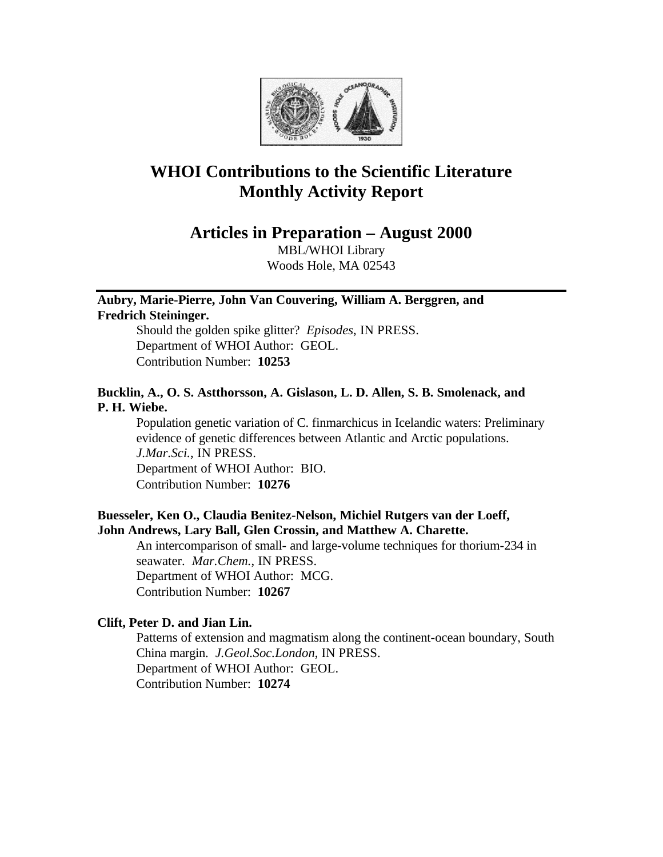

# **WHOI Contributions to the Scientific Literature Monthly Activity Report**

**Articles in Preparation – August 2000**

MBL/WHOI Library Woods Hole, MA 02543

# **Aubry, Marie-Pierre, John Van Couvering, William A. Berggren, and**

**Fredrich Steininger.** 

Should the golden spike glitter? *Episodes*, IN PRESS. Department of WHOI Author: GEOL. Contribution Number: **10253**

# **Bucklin, A., O. S. Astthorsson, A. Gislason, L. D. Allen, S. B. Smolenack, and P. H. Wiebe.**

Population genetic variation of C. finmarchicus in Icelandic waters: Preliminary evidence of genetic differences between Atlantic and Arctic populations. *J.Mar.Sci.*, IN PRESS. Department of WHOI Author: BIO. Contribution Number: **10276**

# **Buesseler, Ken O., Claudia Benitez-Nelson, Michiel Rutgers van der Loeff, John Andrews, Lary Ball, Glen Crossin, and Matthew A. Charette.**

An intercomparison of small- and large-volume techniques for thorium-234 in seawater. *Mar.Chem.*, IN PRESS. Department of WHOI Author: MCG. Contribution Number: **10267**

# **Clift, Peter D. and Jian Lin.**

Patterns of extension and magmatism along the continent-ocean boundary, South China margin. *J.Geol.Soc.London*, IN PRESS. Department of WHOI Author: GEOL. Contribution Number: **10274**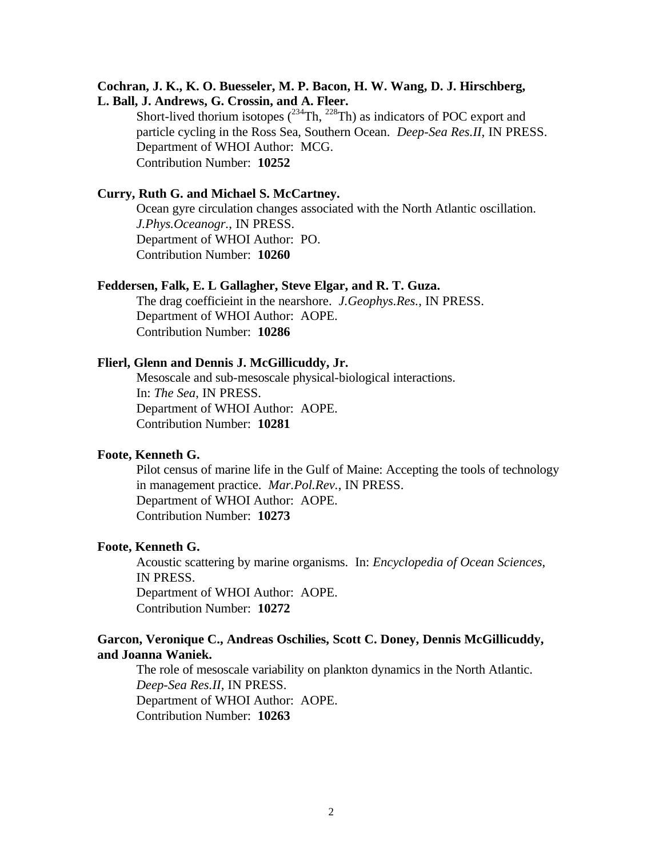# **Cochran, J. K., K. O. Buesseler, M. P. Bacon, H. W. Wang, D. J. Hirschberg,**

**L. Ball, J. Andrews, G. Crossin, and A. Fleer.** Short-lived thorium isotopes  $(^{234}Th, ^{228}Th)$  as indicators of POC export and particle cycling in the Ross Sea, Southern Ocean. *Deep-Sea Res.II*, IN PRESS. Department of WHOI Author: MCG. Contribution Number: **10252**

# **Curry, Ruth G. and Michael S. McCartney.**

Ocean gyre circulation changes associated with the North Atlantic oscillation. *J.Phys.Oceanogr.*, IN PRESS. Department of WHOI Author: PO. Contribution Number: **10260**

### **Feddersen, Falk, E. L Gallagher, Steve Elgar, and R. T. Guza.**

The drag coefficieint in the nearshore. *J.Geophys.Res.*, IN PRESS. Department of WHOI Author: AOPE. Contribution Number: **10286**

### **Flierl, Glenn and Dennis J. McGillicuddy, Jr.**

Mesoscale and sub-mesoscale physical-biological interactions. In: *The Sea*, IN PRESS. Department of WHOI Author: AOPE. Contribution Number: **10281**

# **Foote, Kenneth G.**

Pilot census of marine life in the Gulf of Maine: Accepting the tools of technology in management practice. *Mar.Pol.Rev.*, IN PRESS. Department of WHOI Author: AOPE. Contribution Number: **10273**

### **Foote, Kenneth G.**

Acoustic scattering by marine organisms. In: *Encyclopedia of Ocean Sciences*, IN PRESS. Department of WHOI Author: AOPE. Contribution Number: **10272**

# **Garcon, Veronique C., Andreas Oschilies, Scott C. Doney, Dennis McGillicuddy, and Joanna Waniek.**

The role of mesoscale variability on plankton dynamics in the North Atlantic. *Deep-Sea Res.II*, IN PRESS. Department of WHOI Author: AOPE. Contribution Number: **10263**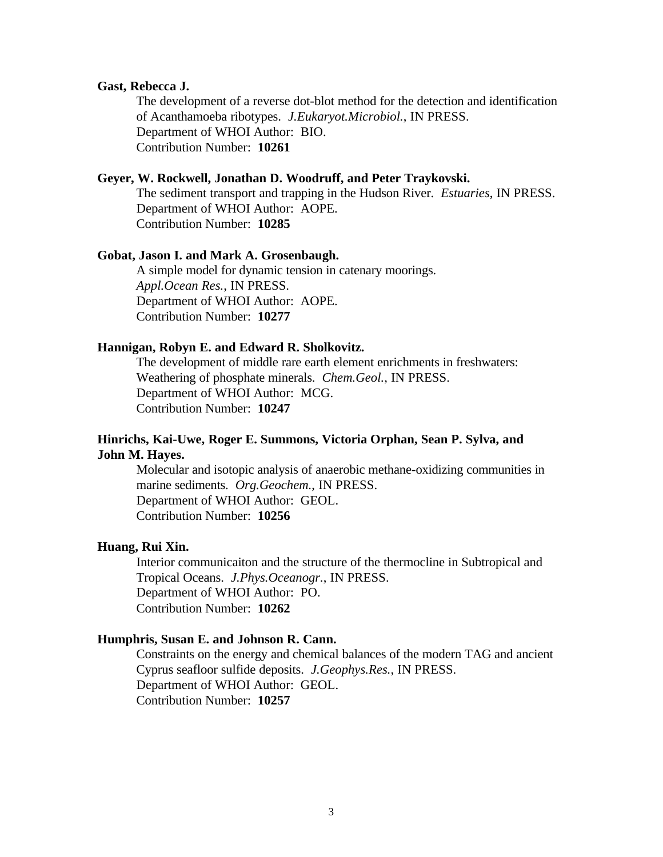### **Gast, Rebecca J.**

The development of a reverse dot-blot method for the detection and identification of Acanthamoeba ribotypes. *J.Eukaryot.Microbiol.*, IN PRESS. Department of WHOI Author: BIO. Contribution Number: **10261**

### **Geyer, W. Rockwell, Jonathan D. Woodruff, and Peter Traykovski.**

The sediment transport and trapping in the Hudson River. *Estuaries*, IN PRESS. Department of WHOI Author: AOPE. Contribution Number: **10285**

### **Gobat, Jason I. and Mark A. Grosenbaugh.**

A simple model for dynamic tension in catenary moorings. *Appl.Ocean Res.*, IN PRESS. Department of WHOI Author: AOPE. Contribution Number: **10277**

### **Hannigan, Robyn E. and Edward R. Sholkovitz.**

The development of middle rare earth element enrichments in freshwaters: Weathering of phosphate minerals. *Chem.Geol.*, IN PRESS. Department of WHOI Author: MCG. Contribution Number: **10247**

# **Hinrichs, Kai-Uwe, Roger E. Summons, Victoria Orphan, Sean P. Sylva, and John M. Hayes.**

Molecular and isotopic analysis of anaerobic methane-oxidizing communities in marine sediments. *Org.Geochem.*, IN PRESS. Department of WHOI Author: GEOL. Contribution Number: **10256**

### **Huang, Rui Xin.**

Interior communicaiton and the structure of the thermocline in Subtropical and Tropical Oceans. *J.Phys.Oceanogr.*, IN PRESS. Department of WHOI Author: PO. Contribution Number: **10262**

### **Humphris, Susan E. and Johnson R. Cann.**

Constraints on the energy and chemical balances of the modern TAG and ancient Cyprus seafloor sulfide deposits. *J.Geophys.Res.*, IN PRESS. Department of WHOI Author: GEOL. Contribution Number: **10257**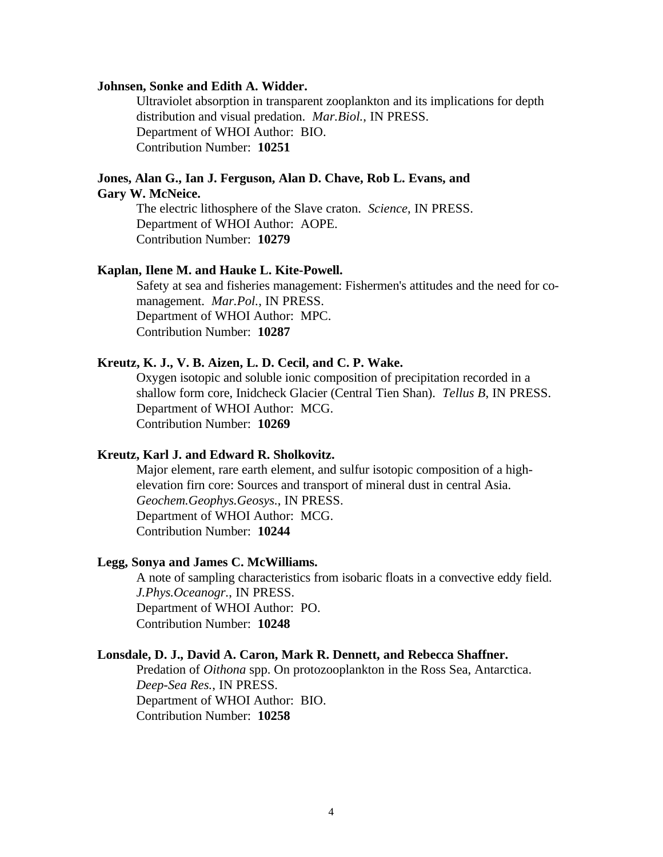### **Johnsen, Sonke and Edith A. Widder.**

Ultraviolet absorption in transparent zooplankton and its implications for depth distribution and visual predation. *Mar.Biol.*, IN PRESS. Department of WHOI Author: BIO. Contribution Number: **10251**

# **Jones, Alan G., Ian J. Ferguson, Alan D. Chave, Rob L. Evans, and**

# **Gary W. McNeice.**

The electric lithosphere of the Slave craton. *Science*, IN PRESS. Department of WHOI Author: AOPE. Contribution Number: **10279**

### **Kaplan, Ilene M. and Hauke L. Kite-Powell.**

Safety at sea and fisheries management: Fishermen's attitudes and the need for comanagement. *Mar.Pol.*, IN PRESS. Department of WHOI Author: MPC. Contribution Number: **10287**

# **Kreutz, K. J., V. B. Aizen, L. D. Cecil, and C. P. Wake.**

Oxygen isotopic and soluble ionic composition of precipitation recorded in a shallow form core, Inidcheck Glacier (Central Tien Shan). *Tellus B*, IN PRESS. Department of WHOI Author: MCG. Contribution Number: **10269**

### **Kreutz, Karl J. and Edward R. Sholkovitz.**

Major element, rare earth element, and sulfur isotopic composition of a highelevation firn core: Sources and transport of mineral dust in central Asia. *Geochem.Geophys.Geosys.*, IN PRESS. Department of WHOI Author: MCG. Contribution Number: **10244**

# **Legg, Sonya and James C. McWilliams.**

A note of sampling characteristics from isobaric floats in a convective eddy field. *J.Phys.Oceanogr.*, IN PRESS. Department of WHOI Author: PO. Contribution Number: **10248**

# **Lonsdale, D. J., David A. Caron, Mark R. Dennett, and Rebecca Shaffner.**

Predation of *Oithona* spp. On protozooplankton in the Ross Sea, Antarctica. *Deep-Sea Res.*, IN PRESS. Department of WHOI Author: BIO. Contribution Number: **10258**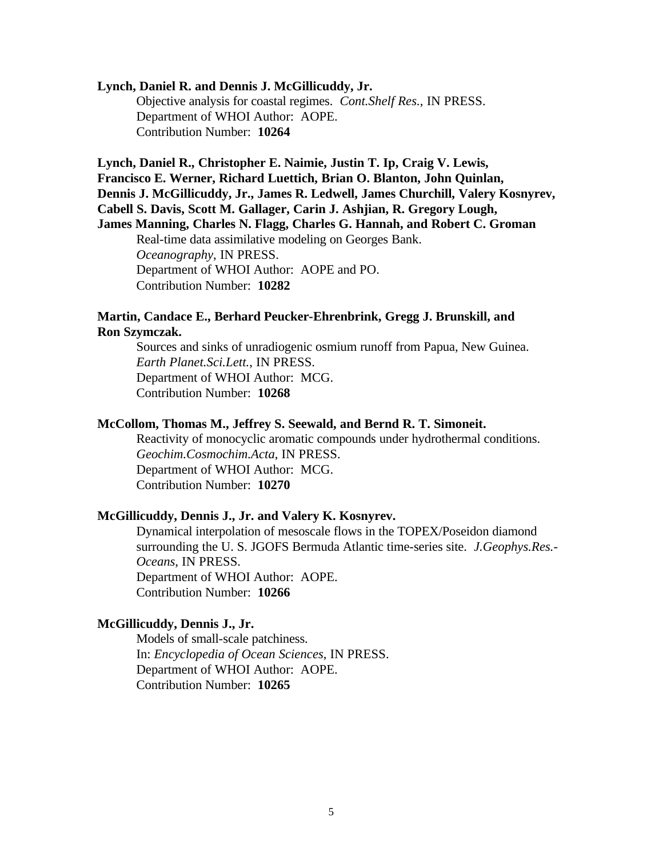### **Lynch, Daniel R. and Dennis J. McGillicuddy, Jr.**

Objective analysis for coastal regimes. *Cont.Shelf Res.*, IN PRESS. Department of WHOI Author: AOPE. Contribution Number: **10264**

**Lynch, Daniel R., Christopher E. Naimie, Justin T. Ip, Craig V. Lewis, Francisco E. Werner, Richard Luettich, Brian O. Blanton, John Quinlan, Dennis J. McGillicuddy, Jr., James R. Ledwell, James Churchill, Valery Kosnyrev, Cabell S. Davis, Scott M. Gallager, Carin J. Ashjian, R. Gregory Lough, James Manning, Charles N. Flagg, Charles G. Hannah, and Robert C. Groman** Real-time data assimilative modeling on Georges Bank. *Oceanography*, IN PRESS. Department of WHOI Author: AOPE and PO. Contribution Number: **10282**

# **Martin, Candace E., Berhard Peucker-Ehrenbrink, Gregg J. Brunskill, and Ron Szymczak.**

Sources and sinks of unradiogenic osmium runoff from Papua, New Guinea. *Earth Planet.Sci.Lett.*, IN PRESS. Department of WHOI Author: MCG. Contribution Number: **10268**

# **McCollom, Thomas M., Jeffrey S. Seewald, and Bernd R. T. Simoneit.**

Reactivity of monocyclic aromatic compounds under hydrothermal conditions. *Geochim.Cosmochim.Acta*, IN PRESS. Department of WHOI Author: MCG. Contribution Number: **10270**

# **McGillicuddy, Dennis J., Jr. and Valery K. Kosnyrev.**

Dynamical interpolation of mesoscale flows in the TOPEX/Poseidon diamond surrounding the U. S. JGOFS Bermuda Atlantic time-series site. *J.Geophys.Res.- Oceans*, IN PRESS. Department of WHOI Author: AOPE. Contribution Number: **10266**

# **McGillicuddy, Dennis J., Jr.**

Models of small-scale patchiness. In: *Encyclopedia of Ocean Sciences*, IN PRESS. Department of WHOI Author: AOPE. Contribution Number: **10265**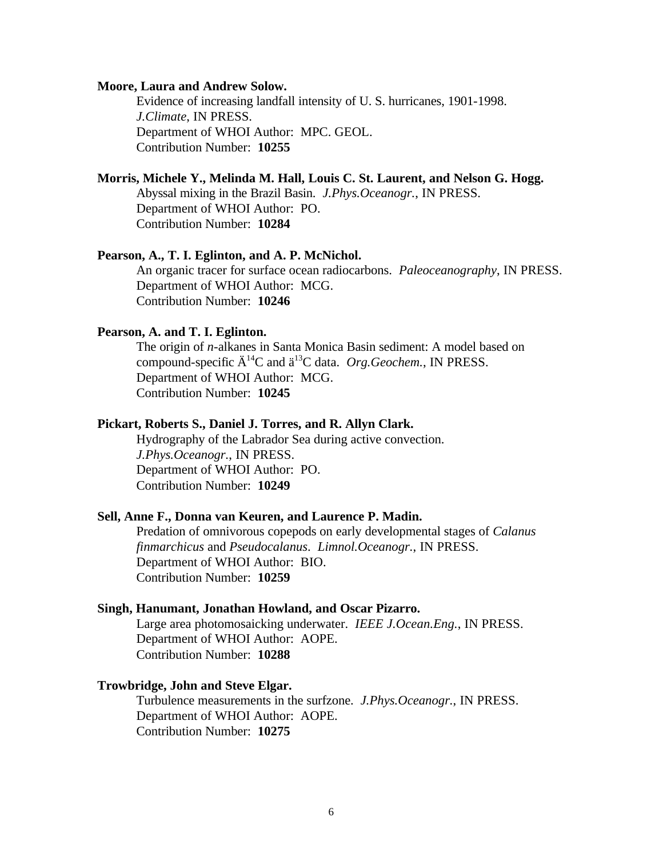#### **Moore, Laura and Andrew Solow.**

Evidence of increasing landfall intensity of U. S. hurricanes, 1901-1998. *J.Climate*, IN PRESS. Department of WHOI Author: MPC. GEOL. Contribution Number: **10255**

# **Morris, Michele Y., Melinda M. Hall, Louis C. St. Laurent, and Nelson G. Hogg.**

Abyssal mixing in the Brazil Basin. *J.Phys.Oceanogr.*, IN PRESS. Department of WHOI Author: PO. Contribution Number: **10284**

# **Pearson, A., T. I. Eglinton, and A. P. McNichol.**

An organic tracer for surface ocean radiocarbons. *Paleoceanography*, IN PRESS. Department of WHOI Author: MCG. Contribution Number: **10246**

# **Pearson, A. and T. I. Eglinton.**

The origin of *n*-alkanes in Santa Monica Basin sediment: A model based on compound-specific  $\ddot{A}^{14}C$  and  $\ddot{a}^{13}C$  data. *Org.Geochem.*, IN PRESS. Department of WHOI Author: MCG. Contribution Number: **10245**

### **Pickart, Roberts S., Daniel J. Torres, and R. Allyn Clark.**

Hydrography of the Labrador Sea during active convection. *J.Phys.Oceanogr.*, IN PRESS. Department of WHOI Author: PO. Contribution Number: **10249**

### **Sell, Anne F., Donna van Keuren, and Laurence P. Madin.**

Predation of omnivorous copepods on early developmental stages of *Calanus finmarchicus* and *Pseudocalanus*. *Limnol.Oceanogr.*, IN PRESS. Department of WHOI Author: BIO. Contribution Number: **10259**

### **Singh, Hanumant, Jonathan Howland, and Oscar Pizarro.**

Large area photomosaicking underwater. *IEEE J.Ocean.Eng.*, IN PRESS. Department of WHOI Author: AOPE. Contribution Number: **10288**

### **Trowbridge, John and Steve Elgar.**

Turbulence measurements in the surfzone. *J.Phys.Oceanogr.*, IN PRESS. Department of WHOI Author: AOPE. Contribution Number: **10275**